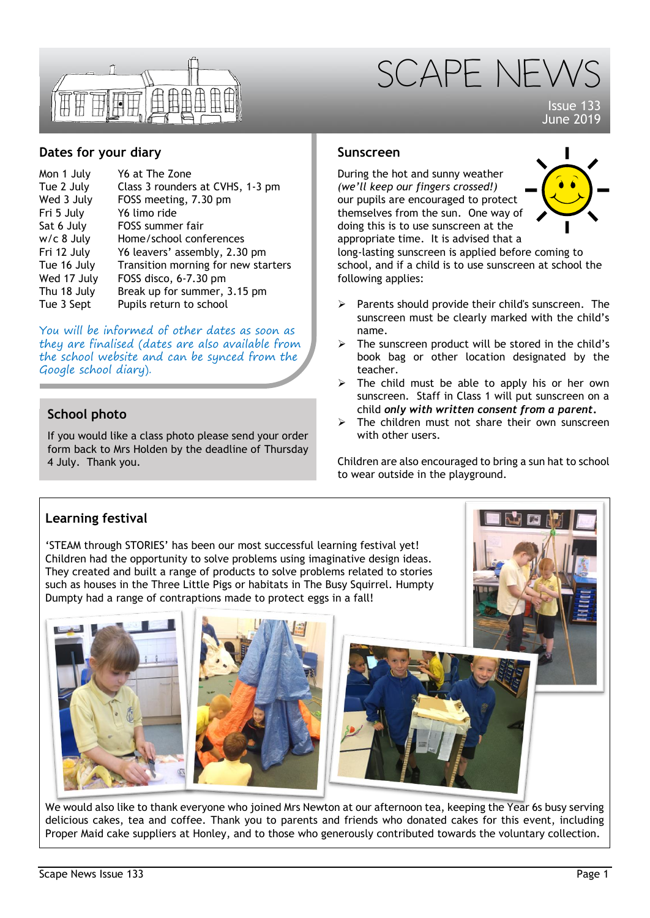



Issue 133 June 2019

### **Dates for your diary**

| Mon 1 July   | Y6 at The Zone                      |
|--------------|-------------------------------------|
| Tue 2 July   | Class 3 rounders at CVHS, 1-3 pm    |
| Wed 3 July   | FOSS meeting, 7.30 pm               |
| Fri 5 July   | Y6 limo ride                        |
| Sat 6 July   | FOSS summer fair                    |
| $w/c$ 8 July | Home/school conferences             |
| Fri 12 July  | Y6 leavers' assembly, 2.30 pm       |
| Tue 16 July  | Transition morning for new starters |
| Wed 17 July  | FOSS disco, 6-7.30 pm               |
| Thu 18 July  | Break up for summer, 3.15 pm        |
| Tue 3 Sept   | Pupils return to school             |

You will be informed of other dates as soon as they are finalised (dates are also available from the school website and can be synced from the Google school diary).

# **School photo**

If you would like a class photo please send your order form back to Mrs Holden by the deadline of Thursday 4 July. Thank you.

### **Sunscreen**

During the hot and sunny weather *(we'll keep our fingers crossed!)* our pupils are encouraged to protect themselves from the sun. One way of doing this is to use sunscreen at the appropriate time. It is advised that a



long-lasting sunscreen is applied before coming to school, and if a child is to use sunscreen at school the following applies:

- $\triangleright$  Parents should provide their child's sunscreen. The sunscreen must be clearly marked with the child's name.
- $\triangleright$  The sunscreen product will be stored in the child's book bag or other location designated by the teacher.
- $\triangleright$  The child must be able to apply his or her own sunscreen. Staff in Class 1 will put sunscreen on a child *only with written consent from a parent***.**
- $\triangleright$  The children must not share their own sunscreen with other users.

Children are also encouraged to bring a sun hat to school to wear outside in the playground.

## **Learning festival**

'STEAM through STORIES' has been our most successful learning festival yet! Children had the opportunity to solve problems using imaginative design ideas. They created and built a range of products to solve problems related to stories such as houses in the Three Little Pigs or habitats in The Busy Squirrel. Humpty Dumpty had a range of contraptions made to protect eggs in a fall!





We would also like to thank everyone who joined Mrs Newton at our afternoon tea, keeping the Year 6s busy serving delicious cakes, tea and coffee. Thank you to parents and friends who donated cakes for this event, including Proper Maid cake suppliers at Honley, and to those who generously contributed towards the voluntary collection.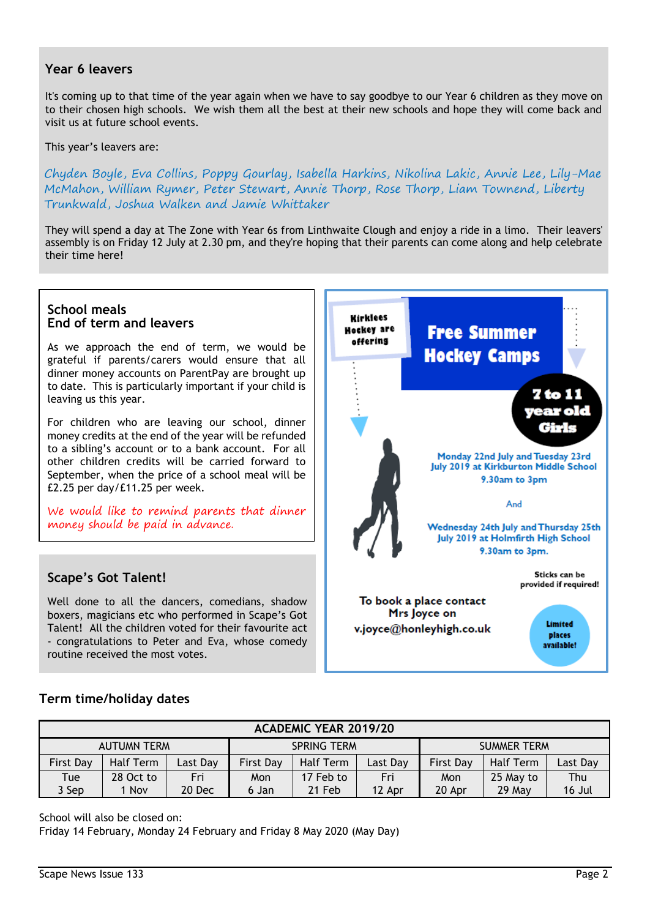### **Year 6 leavers**

It's coming up to that time of the year again when we have to say goodbye to our Year 6 children as they move on to their chosen high schools. We wish them all the best at their new schools and hope they will come back and visit us at future school events.

This year's leavers are:

Chyden Boyle, Eva Collins, Poppy Gourlay, Isabella Harkins, Nikolina Lakic, Annie Lee, Lily-Mae McMahon, William Rymer, Peter Stewart, Annie Thorp, Rose Thorp, Liam Townend, Liberty Trunkwald, Joshua Walken and Jamie Whittaker

They will spend a day at The Zone with Year 6s from Linthwaite Clough and enjoy a ride in a limo. Their leavers' assembly is on Friday 12 July at 2.30 pm, and they're hoping that their parents can come along and help celebrate their time here!

#### **School meals End of term and leavers**

As we approach the end of term, we would be grateful if parents/carers would ensure that all dinner money accounts on ParentPay are brought up to date. This is particularly important if your child is leaving us this year.

For children who are leaving our school, dinner money credits at the end of the year will be refunded to a sibling's account or to a bank account. For all other children credits will be carried forward to September, when the price of a school meal will be £2.25 per day/£11.25 per week.

We would like to remind parents that dinner money should be paid in advance.

## **Scape's Got Talent!**

Well done to all the dancers, comedians, shadow boxers, magicians etc who performed in Scape's Got Talent! All the children voted for their favourite act - congratulations to Peter and Eva, whose comedy routine received the most votes.



#### **Term time/holiday dates**

| <b>ACADEMIC YEAR 2019/20</b> |           |          |                    |           |          |                    |           |          |  |  |
|------------------------------|-----------|----------|--------------------|-----------|----------|--------------------|-----------|----------|--|--|
| <b>AUTUMN TERM</b>           |           |          | <b>SPRING TERM</b> |           |          | <b>SUMMER TERM</b> |           |          |  |  |
| <b>First Day</b>             | Half Term | Last Day | <b>First Day</b>   | Half Term | Last Day | <b>First Dav</b>   | Half Term | Last Day |  |  |
| Tue                          | 28 Oct to | Fri      | Mon                | 17 Feb to | Fri      | Mon                | 25 May to | Thu      |  |  |
| 3 Sep                        | 1 Nov     | 20 Dec   | 6 Jan              | 21 Feb    | 12 Apr   | 20 Apr             | $29$ May  | 16 Jul   |  |  |

School will also be closed on:

Friday 14 February, Monday 24 February and Friday 8 May 2020 (May Day)